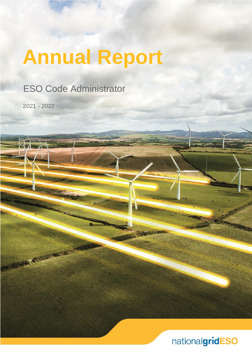# **Annual Report**

ESO Code Administrator

2021 - 2022

**PARTICULAR AND REAL PROPERTY** 

nationalgridESO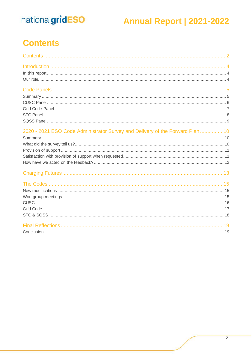### **Annual Report | 2021-2022**

### <span id="page-1-0"></span>**Contents**

| 2020 - 2021 ESO Code Administrator Survey and Delivery of the Forward Plan  10 |  |
|--------------------------------------------------------------------------------|--|
|                                                                                |  |
|                                                                                |  |
|                                                                                |  |
|                                                                                |  |
|                                                                                |  |
|                                                                                |  |
|                                                                                |  |
|                                                                                |  |
|                                                                                |  |
|                                                                                |  |
|                                                                                |  |
|                                                                                |  |
|                                                                                |  |
|                                                                                |  |
|                                                                                |  |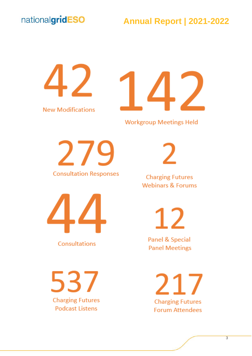### **Annual Report | 2021-2022**

**New Modifications** 



**Workgroup Meetings Held** 

**Consultation Responses** 

**Consultations** 

537 **Charging Futures Podcast Listens** 

**Charging Futures Webinars & Forums** 

12

**Panel & Special Panel Meetings** 

> 217 **Charging Futures Forum Attendees**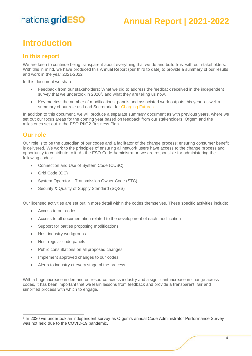### **Annual Report | 2021-2022**

### <span id="page-3-0"></span>**Introduction**

#### <span id="page-3-1"></span>**In this report**

We are keen to continue being transparent about everything that we do and build trust with our stakeholders. With this in mind, we have produced this Annual Report (our third to date) to provide a summary of our results and work in the year 2021-2022.

In this document we share:

- Feedback from our stakeholders: What we did to address the feedback received in the independent survey that we undertook in  $2020<sup>1</sup>$ , and what they are telling us now.
- Key metrics: the number of modifications, panels and associated work outputs this year, as well a summary of our role as Lead Secretariat fo[r Charging Futures.](http://www.chargingfutures.com/)

In addition to this document, we will produce a separate summary document as with previous years, where we set out our focus areas for the coming year based on feedback from our stakeholders. Ofgem and the milestones set out in the ESO RIIO2 Business Plan.

#### <span id="page-3-2"></span>**Our role**

Our role is to be the custodian of our codes and a facilitator of the change process; ensuring consumer benefit is delivered. We work to the principles of ensuring all network users have access to the change process and opportunity to contribute to it. As the ESO Code Administrator, we are responsible for administering the following codes:

- Connection and Use of System Code (CUSC)
- Grid Code (GC)
- System Operator Transmission Owner Code (STC)
- Security & Quality of Supply Standard (SQSS)

Our licensed activities are set out in more detail within the codes themselves. These specific activities include:

- Access to our codes
- Access to all documentation related to the development of each modification
- Support for parties proposing modifications
- Host industry workgroups
- Host regular code panels
- Public consultations on all proposed changes
- Implement approved changes to our codes
- Alerts to industry at every stage of the process

With a huge increase in demand on resource across industry and a significant increase in change across codes, it has been important that we learn lessons from feedback and provide a transparent, fair and simplified process with which to engage.

<sup>&</sup>lt;sup>1</sup> In 2020 we undertook an independent survey as Ofgem's annual Code Administrator Performance Survey was not held due to the COVID-19 pandemic.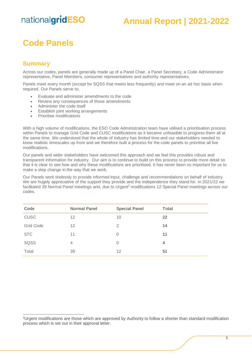### **Annual Report | 2021-2022**

### <span id="page-4-0"></span>**Code Panels**

#### <span id="page-4-1"></span>**Summary**

Across our codes, panels are generally made up of a Panel Chair, a Panel Secretary, a Code Administrator representative, Panel Members, consumer representatives and authority representatives.

Panels meet every month (except for SQSS that meets less frequently) and meet on an ad hoc basis when required. Our Panels serve to;

- Evaluate and administer amendments to the code
- Review any consequences of those amendments
- Administer the code itself
- **Establish joint working arrangements**
- Prioritise modifications

With a high volume of modifications, the ESO Code Administration team have utilised a prioritisation process within Panels to manage Grid Code and CUSC modifications as it became unfeasible to progress them all at the same time. We understood that the whole of industry has limited time and our stakeholders needed to know realistic timescales up front and we therefore built a process for the code panels to prioritise all live modifications.

Our panels and wider stakeholders have welcomed this approach and we feel this provides robust and transparent information for industry. Our aim is to continue to build on this process to provide more detail so that it is clear to see how and why these modifications are prioritised. It has never been so important for us to make a step change in the way that we work.

Our Panels work tirelessly to provide informed input, challenge and recommendations on behalf of industry. We are hugely appreciative of the support they provide and the independence they stand for. In 2021/22 we facilitated 39 Normal Panel meetings and, due to Urgent<sup>2</sup> modifications 12 Special Panel meetings across our codes.

| Code             | <b>Normal Panel</b> | <b>Special Panel</b> | <b>Total</b> |
|------------------|---------------------|----------------------|--------------|
| <b>CUSC</b>      | 12                  | 10                   | 22           |
| <b>Grid Code</b> | $12 \overline{ }$   | 2                    | 14           |
| <b>STC</b>       | 11                  | 0                    | 11           |
| SQSS             | $\overline{4}$      | 0                    | 4            |
| Total            | 39                  | 12                   | 51           |

<sup>2</sup>Urgent modifications are those which are approved by Authority to follow a shorter than standard modification process which is set out in their approval letter.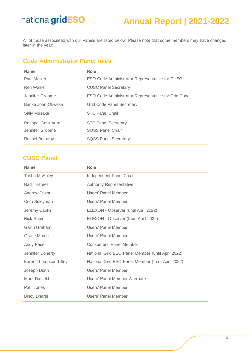### **Annual Report | 2021-2022**

All of those associated with our Panels are listed below. Please note that some members may have changed later in the year:

#### **Code Administrator Panel roles**

| <b>Name</b>       | Role                                                |
|-------------------|-----------------------------------------------------|
| Paul Mullen       | ESO Code Administrator Representative for CUSC      |
| Ren Walker        | <b>CUSC Panel Secretary</b>                         |
| Jennifer Groome   | ESO Code Administrator Representative for Grid Code |
| Banke John-Okwesa | <b>Grid Code Panel Secretary</b>                    |
| Sally Musaka      | <b>STC Panel Chair</b>                              |
| Rashpal Gata-Aura | <b>STC Panel Secretary</b>                          |
| Jennifer Groome   | <b>SOSS Panel Chair</b>                             |
| Rachel Beaufoy    | <b>SQSS Panel Secretary</b>                         |

#### <span id="page-5-0"></span>**CUSC Panel**

| <b>Name</b>           | Role                                              |
|-----------------------|---------------------------------------------------|
| <b>Trisha McAuley</b> | Independent Panel Chair                           |
| Nadir Hafeez          | <b>Authority Representative</b>                   |
| Andrew Enzor          | Users' Panel Member                               |
| Cem Suleyman          | Users' Panel Member                               |
| Jeremy Caplin         | ELEXON - Observer (until April 2022)              |
| Nick Rubin            | ELEXON - Observer (from April 2022)               |
| Garth Graham          | Users' Panel Member                               |
| Grace March           | Users' Panel Member                               |
| Andy Pace             | Consumers' Panel Member                           |
| Jennifer Doherty      | National Grid ESO Panel Member (until April 2022) |
| Karen Thompson-Lilley | National Grid ESO Panel Member (from April 2022)  |
| Joseph Dunn           | Users' Panel Member                               |
| Mark Duffield         | Users' Panel Member Alternate                     |
| Paul Jones            | Users' Panel Member                               |
| <b>Binoy Dharsi</b>   | Users' Panel Member                               |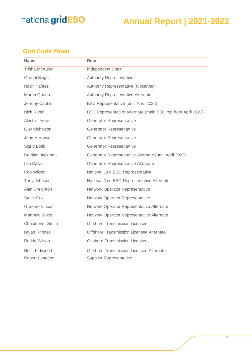### **Annual Report | 2021-2022**

#### <span id="page-6-0"></span>**Grid Code Panel**

| <b>Name</b>           | <b>Role</b>                                                 |
|-----------------------|-------------------------------------------------------------|
| <b>Trisha McAuley</b> | Independent Chair                                           |
| <b>Gurpal Singh</b>   | <b>Authority Representative</b>                             |
| Nadir Hafeez          | Authority Representative (Observer)                         |
| Martin Queen          | <b>Authority Representative Alternate</b>                   |
| Jeremy Caplin         | BSC Representative (until April 2022)                       |
| Nick Rubin            | BSC Representative Alternate (main BSC rep from April 2022) |
| <b>Alastair Frew</b>  | Generator Representative                                    |
| <b>Guy Nicholson</b>  | Generator Representative                                    |
| John Harrower         | <b>Generator Representative</b>                             |
| Sigrid Bolik          | <b>Generator Representative</b>                             |
| Damian Jackman        | Generator Representative Alternate (until April 2022)       |
| Iain Dallas           | Generator Representative Alternate                          |
| Rob Wilson            | National Grid ESO Representative                            |
| Tony Johnson          | National Grid ESO Representative Alternate                  |
| Alan Creighton        | Network Operator Representative                             |
| <b>Steve Cox</b>      | <b>Network Operator Representative</b>                      |
| <b>Graeme Vincent</b> | Network Operator Representative Alternate                   |
| <b>Matthew White</b>  | Network Operator Representative Alternate                   |
| Christopher Smith     | <b>Offshore Transmission Licensee</b>                       |
| <b>Bryan Rhodes</b>   | Offshore Transmission Licensee Alternate                    |
| Roddy Wilson          | <b>Onshore Transmission Licensee</b>                        |
| Ross Kirkwood         | Offshore Transmission Licensee Alternate                    |
| Robert Longden        | <b>Supplier Representative</b>                              |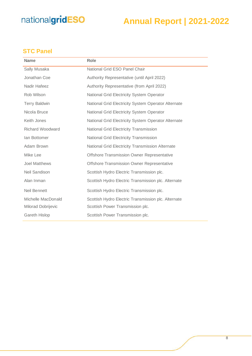### **Annual Report | 2021-2022**

#### <span id="page-7-0"></span>**STC Panel**

| <b>Name</b>             | Role                                                |
|-------------------------|-----------------------------------------------------|
| Sally Musaka            | National Grid ESO Panel Chair                       |
| Jonathan Coe            | Authority Representative (until April 2022)         |
| Nadir Hafeez            | Authority Representative (from April 2022)          |
| Rob Wilson              | National Grid Electricity System Operator           |
| <b>Terry Baldwin</b>    | National Grid Electricity System Operator Alternate |
| Nicola Bruce            | <b>National Grid Electricity System Operator</b>    |
| Keith Jones             | National Grid Electricity System Operator Alternate |
| <b>Richard Woodward</b> | <b>National Grid Electricity Transmission</b>       |
| <b>lan Bottomer</b>     | <b>National Grid Electricity Transmission</b>       |
| Adam Brown              | National Grid Electricity Transmission Alternate    |
| Mike Lee                | <b>Offshore Transmission Owner Representative</b>   |
| <b>Joel Matthews</b>    | <b>Offshore Transmission Owner Representative</b>   |
| <b>Neil Sandison</b>    | Scottish Hydro Electric Transmission plc.           |
| Alan Inman              | Scottish Hydro Electric Transmission plc. Alternate |
| Neil Bennett            | Scottish Hydro Electric Transmission plc.           |
| Michelle MacDonald      | Scottish Hydro Electric Transmission plc. Alternate |
| Milorad Dobrijevic      | Scottish Power Transmission plc.                    |
| <b>Gareth Hislop</b>    | Scottish Power Transmission plc.                    |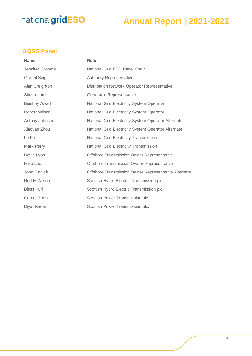### **Annual Report | 2021-2022**

#### <span id="page-8-0"></span>**SQSS Panel**

| <b>Name</b>          | <b>Role</b>                                          |
|----------------------|------------------------------------------------------|
| Jennifer Groome      | National Grid ESO Panel Chair                        |
| <b>Gurpal Singh</b>  | <b>Authority Representative</b>                      |
| Alan Creighton       | Distribution Network Operator Representative         |
| Simon Lord           | <b>Generator Representative</b>                      |
| <b>Bieshoy Awad</b>  | National Grid Electricity System Operator            |
| Robert Wilson        | National Grid Electricity System Operator            |
| Antony Johnson       | National Grid Electricity System Operator Alternate  |
| Xiaoyao Zhou         | National Grid Electricity System Operator Alternate  |
| Le Fu                | <b>National Grid Electricity Transmission</b>        |
| Mark Perry           | <b>National Grid Electricity Transmission</b>        |
| David Lyon           | Offshore Transmission Owner Representative           |
| Mike Lee             | Offshore Transmission Owner Representative           |
| John Sinclair        | Offshore Transmission Owner Representative Alternate |
| Roddy Wilson         | Scottish Hydro Electric Transmission plc.            |
| <b>Bless Kuri</b>    | Scottish Hydro Electric Transmission plc.            |
| <b>Cornel Brozio</b> | Scottish Power Transmission plc.                     |
| Diyar Kadar          | Scottish Power Transmission plc.                     |
|                      |                                                      |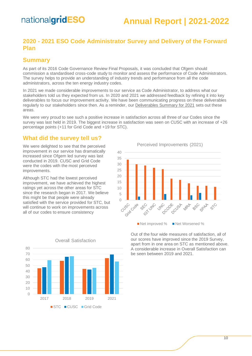### **Annual Report | 2021-2022**

#### <span id="page-9-0"></span>**2020 - 2021 ESO Code Administrator Survey and Delivery of the Forward Plan**

#### <span id="page-9-1"></span>**Summary**

As part of its 2016 Code Governance Review Final Proposals, it was concluded that Ofgem should commission a standardised cross-code study to monitor and assess the performance of Code Administrators. The survey helps to provide an understanding of industry trends and performance from all the code administrators, across the ten energy industry codes.

In 2021 we made considerable improvements to our service as Code Administrator, to address what our stakeholders told us they expected from us. In 2020 and 2021 we addressed feedback by refining it into key deliverables to focus our improvement activity. We have been communicating progress on these deliverables regularly to our stakeholders since then. As a reminder, our [Deliverables Summary for 2021](https://urldefense.com/v3/__https:/subscribers.nationalgrid.co.uk/t/d-i-akytyud-l-r/__;!!B3hxM_NYsQ!msCyBC1rxPGLxajpfOYm2JbugbWdIiNi3x3JXpW4fyXzeiTg7ftGPNgWzruzTnrj-jltsJ9ertw$) sets out these areas.

We were very proud to see such a positive increase in satisfaction across all three of our Codes since the survey was last held in 2019. The biggest increase in satisfaction was seen on CUSC with an increase of +26 percentage points (+11 for Grid Code and +19 for STC).

#### <span id="page-9-2"></span>**What did the survey tell us?**

We were delighted to see that the perceived improvement in our service has dramatically increased since Ofgem led survey was last conducted in 2019. CUSC and Grid Code were the codes with the most perceived improvements.

Although STC had the lowest perceived improvement, we have achieved the highest ratings yet across the other areas for STC since the research began in 2017. We believe this might be that people were already satisfied with the service provided for STC, but will continue to work on improvements across all of our codes to ensure consistency

Perceived Improvements (2021)



Out of the four wide measures of satisfaction, all of our scores have improved since the 2019 Survey, apart from in one area on STC as mentioned above. A considerable increase in Overall Satisfaction can be seen between 2019 and 2021.



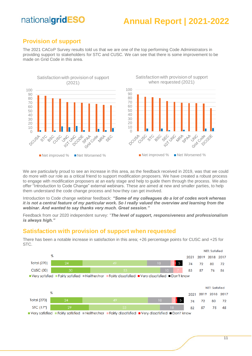### **Annual Report | 2021-2022**

#### <span id="page-10-0"></span>**Provision of support**

The 2021 CACoP Survey results told us that we are one of the top performing Code Administrators in providing support to stakeholders for STC and CUSC. We can see that there is some improvement to be made on Grid Code in this area.



We are particularly proud to see an increase in this area, as the feedback received in 2019, was that we could do more with our role as a critical friend to support modification proposers. We have created a robust process to engage with modification proposers at an early stage and help to guide them through the process. We also offer "Introduction to Code Change" external webinars. These are aimed at new and smaller parties, to help them understand the code change process and how they can get involved.

Introduction to Code change webinar feedback: *"Some of my colleagues do a lot of codes work whereas it is not a central feature of my particular work. So I really valued the overview and learning from the webinar. And wanted to say thanks very much. Great session."*

Feedback from our 2020 independent survey: "*The level of support, responsiveness and professionalism is always high."*

#### <span id="page-10-1"></span>**Satisfaction with provision of support when requested**



There has been a notable increase in satisfaction in this area; +26 percentage points for CUSC and +25 for STC.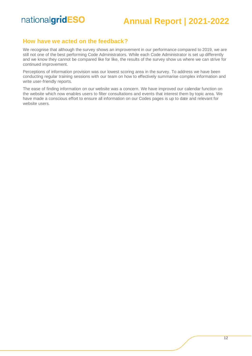### **Annual Report | 2021-2022**

#### <span id="page-11-0"></span>**How have we acted on the feedback?**

We recognise that although the survey shows an improvement in our performance compared to 2019, we are still not one of the best performing Code Administrators. While each Code Administrator is set up differently and we know they cannot be compared like for like, the results of the survey show us where we can strive for continued improvement.

Perceptions of information provision was our lowest scoring area in the survey. To address we have been conducting regular training sessions with our team on how to effectively summarise complex information and write user-friendly reports.

The ease of finding information on our website was a concern. We have improved our calendar function on the website which now enables users to filter consultations and events that interest them by topic area. We have made a conscious effort to ensure all information on our Codes pages is up to date and relevant for website users.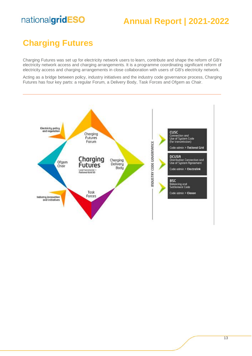### **Annual Report | 2021-2022**

### <span id="page-12-0"></span>**Charging Futures**

Charging Futures was set up for electricity network users to learn, contribute and shape the reform of GB's electricity network access and charging arrangements. It is a programme coordinating significant reform of electricity access and charging arrangements in close collaboration with users of GB's electricity network.

Acting as a bridge between policy, industry initiatives and the industry code governance process, Charging Futures has four key parts: a regular Forum, a Delivery Body, Task Forces and Ofgem as Chair.

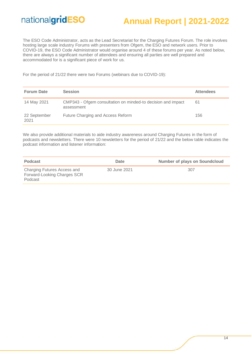### **Annual Report | 2021-2022**

The ESO Code Administrator, acts as the Lead Secretariat for the Charging Futures Forum. The role involves hosting large scale industry Forums with presenters from Ofgem, the ESO and network users. Prior to COVID-19, the ESO Code Administrator would organise around 4 of these forums per year. As noted below, there are always a significant number of attendees and ensuring all parties are well prepared and accommodated for is a significant piece of work for us.

For the period of 21/22 there were two Forums (webinars due to COVID-19):

| <b>Forum Date</b>    | <b>Session</b>                                                             | <b>Attendees</b> |
|----------------------|----------------------------------------------------------------------------|------------------|
| 14 May 2021          | CMP343 - Ofgem consultation on minded-to decision and impact<br>assessment | 61               |
| 22 September<br>2021 | Future Charging and Access Reform                                          | 156              |

We also provide additional materials to aide industry awareness around Charging Futures in the form of podcasts and newsletters. There were 10 newsletters for the period of 21/22 and the below table indicates the podcast information and listener information:

| <b>Podcast</b>                                                        | Date         | <b>Number of plays on Soundcloud</b> |
|-----------------------------------------------------------------------|--------------|--------------------------------------|
| Charging Futures Access and<br>Forward-Looking Charges SCR<br>Podcast | 30 June 2021 | 307                                  |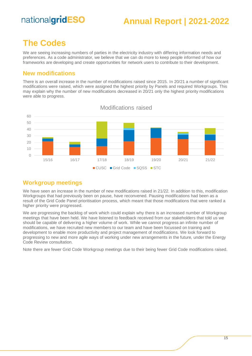### **Annual Report | 2021-2022**

### <span id="page-14-0"></span>**The Codes**

We are seeing increasing numbers of parties in the electricity industry with differing information needs and preferences. As a code administrator, we believe that we can do more to keep people informed of how our frameworks are developing and create opportunities for network users to contribute to their development.

#### <span id="page-14-1"></span>**New modifications**

There is an overall increase in the number of modifications raised since 2015. In 20/21 a number of significant modifications were raised, which were assigned the highest priority by Panels and required Workgroups. This may explain why the number of new modifications decreased in 20/21 only the highest priority modifications were able to progress.



# Modifications raised

#### <span id="page-14-2"></span>**Workgroup meetings**

We have seen an increase in the number of new modifications raised in 21/22. In addition to this, modification Workgroups that had previously been on pause, have reconvened. Pausing modifications had been as a result of the Grid Code Panel prioritisation process, which meant that those modifications that were ranked a higher priority were progressed.

We are progressing the backlog of work which could explain why there is an increased number of Workgroup meetings that have been held. We have listened to feedback received from our stakeholders that told us we should be capable of delivering a higher volume of work. While we cannot progress an infinite number of modifications, we have recruited new members to our team and have been focussed on training and development to enable more productivity and project management of modifications. We look forward to progressing to new and more agile ways of working under new arrangements in the future, under the Energy Code Review consultation.

Note there are fewer Grid Code Workgroup meetings due to their being fewer Grid Code modifications raised.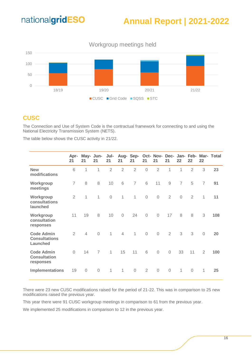### **Annual Report | 2021-2022**



#### <span id="page-15-0"></span>**CUSC**

The Connection and Use of System Code is the contractual framework for connecting to and using the National Electricity Transmission System (NETS).

The table below shows the CUSC activity in 21/22.

|                                                       | Apr-<br>21     | 21             | May- Jun-<br>21 | Jul-<br>21     | 21             | 21             | 21             | 21             | 21             | 22             | 22             | 22             | Aug- Sep- Oct- Nov- Dec- Jan- Feb- Mar- Total |
|-------------------------------------------------------|----------------|----------------|-----------------|----------------|----------------|----------------|----------------|----------------|----------------|----------------|----------------|----------------|-----------------------------------------------|
| <b>New</b><br>modifications                           | 6              | 1              | 1               | $\overline{2}$ | $\overline{2}$ | $\overline{2}$ | $\overline{0}$ | $\overline{2}$ | 1              | 1              | $\overline{2}$ | 3              | 23                                            |
| Workgroup<br>meetings                                 | $\overline{7}$ | 8              | 8               | 10             | 6              | $\overline{7}$ | 6              | 11             | 9              | $\overline{7}$ | 5              | $\overline{7}$ | 91                                            |
| Workgroup<br>consultations<br>launched                | $\overline{2}$ | 1              | 1               | $\mathbf 0$    | $\mathbf{1}$   | $\mathbf{1}$   | $\mathbf 0$    | $\overline{O}$ | $\overline{2}$ | $\mathbf 0$    | $\overline{2}$ | $\mathbf{1}$   | 11                                            |
| Workgroup<br>consultation<br>responses                | 11             | 19             | 8               | 10             | $\sqrt{a}$     | 24             | $\mathbf 0$    | $\overline{O}$ | 17             | 8              | 8              | 3              | 108                                           |
| <b>Code Admin</b><br><b>Consultations</b><br>Launched | $\overline{2}$ | $\overline{4}$ | $\overline{0}$  | $\mathbf{1}$   | $\overline{4}$ | $\mathbf{1}$   | $\mathbf 0$    | $\overline{0}$ | 2              | 3              | 3              | $\overline{0}$ | 20                                            |
| <b>Code Admin</b><br><b>Consultation</b><br>responses | $\Omega$       | 14             | $\overline{7}$  | $\mathbf{1}$   | 15             | 11             | 6              | $\sqrt{a}$     | $\mathbf 0$    | 33             | 11             | $\overline{2}$ | 100                                           |
| Implementations                                       | 19             | $\mathbf 0$    | $\mathbf 0$     | $\mathbf{1}$   | $\mathbf{1}$   | $\mathbf 0$    | $\overline{2}$ | $\overline{O}$ | $\mathbf 0$    | $\mathbf{1}$   | $\overline{0}$ | $\mathbf{1}$   | 25                                            |

There were 23 new CUSC modifications raised for the period of 21-22. This was in comparison to 25 new modifications raised the previous year.

This year there were 91 CUSC workgroup meetings in comparison to 61 from the previous year.

We implemented 25 modifications in comparison to 12 in the previous year.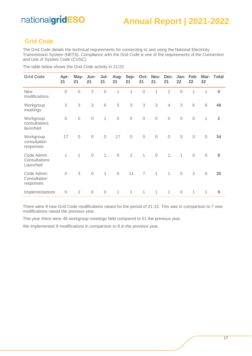#### <span id="page-16-0"></span>**Grid Code**

The Grid Code details the technical requirements for connecting to and using the National Electricity Transmission System (NETS). Compliance with the Grid Code is one of the requirements of the Connection and Use of System Code (CUSC).

| <b>Grid Code</b>                        | Apr-<br>21     | May-<br>21     | Jun-<br>21     | Jul-<br>21   | Aug-<br>21  | Sep-<br>21     | Oct-<br>21     | Nov-<br>21   | Dec-<br>21     | Jan-<br>22   | Feb-<br>22     | Mar-<br>22   | Total          |
|-----------------------------------------|----------------|----------------|----------------|--------------|-------------|----------------|----------------|--------------|----------------|--------------|----------------|--------------|----------------|
| <b>New</b><br>modifications             | $\overline{0}$ | $\mathbf 0$    | $\overline{2}$ | $\mathbf 0$  | 1           | 1              | $\mathbf 0$    | 1            | $\overline{2}$ | $\mathbf 0$  | 1              | 1            | 9              |
| Workgroup<br>meetings                   | 3              | 3              | 3              | 6            | 5           | 3              | 3              | 3            | $\overline{4}$ | 3            | 6              | 6            | 48             |
| Workgroup<br>consultations<br>launched  | $\overline{0}$ | $\mathbf 0$    | $\mathbf 0$    | 1            | $\mathbf 0$ | $\mathbf 0$    | $\mathbf 0$    | $\mathbf 0$  | $\mathbf 0$    | $\mathbf 0$  | $\mathbf 0$    | $\mathbf{1}$ | $\overline{2}$ |
| Workgroup<br>consultation<br>responses  | 17             | $\mathbf 0$    | $\mathbf 0$    | $\mathbf 0$  | 17          | $\mathbf 0$    | $\mathbf 0$    | $\mathbf 0$  | $\mathbf 0$    | $\mathbf 0$  | $\mathbf 0$    | $\mathbf 0$  | 34             |
| Code Admin<br>Consultations<br>Launched | 1              | $\mathbf{1}$   | $\mathbf 0$    | $\mathbf{1}$ | $\mathbf 0$ | $\overline{2}$ | $\mathbf{1}$   | $\sqrt{a}$   | $\mathbf{1}$   | $\mathbf{1}$ | $\mathbf 0$    | $\sqrt{a}$   | 8              |
| Code Admin<br>Consultation<br>responses | $\overline{4}$ | 3              | $\mathbf 0$    | 1            | $\mathbf 0$ | 11             | $\overline{7}$ | $\mathbf{1}$ | $\mathbf{1}$   | $\mathbf 0$  | $\overline{2}$ | $\sqrt{a}$   | 35             |
| Implementations                         | $\overline{0}$ | $\overline{2}$ | $\mathbf 0$    | $\mathbf 0$  | 1           | 1              | 1              | 1            | 1              | $\sqrt{a}$   | 1              | 1            | 9              |

The table below shows the Grid Code activity in 21/22.  $\overline{\phantom{a}}$ 

There were 9 new Grid Code modifications raised for the period of 21-22. This was in comparison to 7 new modifications raised the previous year.

This year there were 48 workgroup meetings held compared to 51 the previous year.

We implemented 9 modifications in comparison to 8 in the previous year.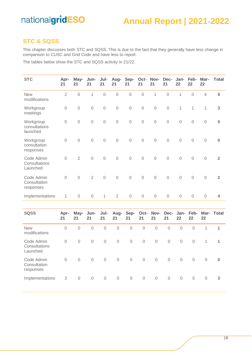### **Annual Report | 2021-2022**

#### <span id="page-17-0"></span>**STC & SQSS**

This chapter discusses both STC and SQSS. This is due to the fact that they generally have less change in comparison to CUSC and Grid Code and have less to report.

The tables below show the STC and SQSS activity in 21/22.

| <b>STC</b>                              | Apr-<br>21     | May-<br>21     | Jun-<br>21     | Jul-<br>21     | Aug-<br>21     | Sep-<br>21     | Oct-<br>21     | Nov-<br>21          | Dec-<br>21     | Jan-<br>22     | Feb-<br>22     | Mar-<br>22     | Total          |
|-----------------------------------------|----------------|----------------|----------------|----------------|----------------|----------------|----------------|---------------------|----------------|----------------|----------------|----------------|----------------|
| <b>New</b><br>modifications             | $\overline{2}$ | $\mathbf 0$    | $\mathbf{1}$   | $\overline{0}$ | $\mathbf 0$    | $\mathbf 0$    | $\mathbf 0$    | $\mathbf{1}$        | $\overline{0}$ | $\overline{1}$ | $\mathbf 0$    | $\overline{4}$ | $9\,$          |
| Workgroup<br>meetings                   | $\mathbf 0$    | $\mathbf 0$    | 0              | $\mathbf 0$    | $\mathbf 0$    | $\mathbf 0$    | $\overline{O}$ | $\mathbf 0$         | $\mathbf 0$    | 1              | 1              | $\mathbf 1$    | 3              |
| Workgroup<br>consultations<br>launched  | $\mathbf 0$    | $\mathbf 0$    | $\overline{O}$ | $\mathbf 0$    | $\overline{O}$ | $\overline{0}$ | $\overline{O}$ | $\mathbf 0$         | $\overline{0}$ | $\overline{0}$ | $\mathbf 0$    | $\overline{0}$ | $\bf{0}$       |
| Workgroup<br>consultation<br>responses  | $\mathbf 0$    | $\mathbf 0$    | $\mathbf 0$    | $\mathbf 0$    | $\overline{0}$ | $\mathbf 0$    | $\mathbf 0$    | $\mathbf 0$         | $\overline{0}$ | $\mathbf 0$    | $\mathbf 0$    | $\overline{0}$ | $\pmb{0}$      |
| Code Admin<br>Consultations<br>Launched | $\mathbf 0$    | $\overline{2}$ | $\overline{0}$ | $\overline{0}$ | $\overline{0}$ | $\overline{0}$ | $\mathbf 0$    | $\overline{0}$      | $\overline{0}$ | $\overline{0}$ | $\mathbf 0$    | $\overline{0}$ | $\overline{2}$ |
| Code Admin<br>Consultation<br>responses | $\mathbf 0$    | $\mathbf 0$    | $\overline{2}$ | $\overline{0}$ | $\overline{0}$ | $\overline{0}$ | $\overline{0}$ | $\overline{0}$      | $\overline{0}$ | $\mathbf 0$    | $\overline{0}$ | $\overline{0}$ | $\overline{2}$ |
| Implementations                         | $\mathbf{1}$   | $\mathbf 0$    | $\mathbf 0$    | $\mathbf{1}$   | $\overline{2}$ | $\mathbf 0$    | $\mathbf 0$    | $\mathbf 0$         | $\mathbf 0$    | $\mathbf 0$    | $\mathbf 0$    | $\mathbf 0$    | 4              |
|                                         |                |                |                |                |                |                |                |                     |                |                |                |                |                |
| <b>SQSS</b>                             | Apr-<br>21     | May-<br>21     | Jun-<br>21     | Jul-<br>21     | Aug-<br>21     | Sep-<br>21     | Oct-<br>21     | Nov-<br>21          | Dec-<br>21     | Jan-<br>22     | Feb-<br>22     | Mar-<br>22     | <b>Total</b>   |
| <b>New</b><br>modifications             | $\mathbf 0$    | $\overline{0}$ | $\mathbf 0$    | $\mathbf 0$    | $\mathbf 0$    | $\overline{0}$ | $\mathbf 0$    | $\overline{0}$      | $\overline{0}$ | $\overline{0}$ | $\overline{0}$ | $\mathbf{1}$   | $\mathbf{1}$   |
| Code Admin<br>Consultations<br>Launched | $\mathbf 0$    | $\mathbf 0$    | $\mathbf 0$    | $\mathbf 0$    | $\mathbf 0$    | $\mathbf 0$    | $\mathbf 0$    | $\mathsf{O}\xspace$ | $\mathbf 0$    | $\mathbf 0$    | $\overline{0}$ | $\mathbf 1$    | $\overline{1}$ |
| Code Admin<br>Consultation<br>responses | $\overline{0}$ | $\overline{0}$ | $\mathbf 0$    | $\overline{0}$ | $\mathbf 0$    | $\overline{0}$ | $\mathbf 0$    | $\overline{0}$      | $\overline{0}$ | $\overline{0}$ | $\overline{0}$ | $\overline{0}$ | $\bf{0}$       |
| Implementations                         | 3              | 0              | $\mathbf 0$    | $\mathbf 0$    | $\mathbf 0$    | $\mathbf 0$    | $\mathbf 0$    | $\mathbf 0$         | $\overline{0}$ | $\overline{O}$ | 0              | $\mathbf 0$    | 3              |